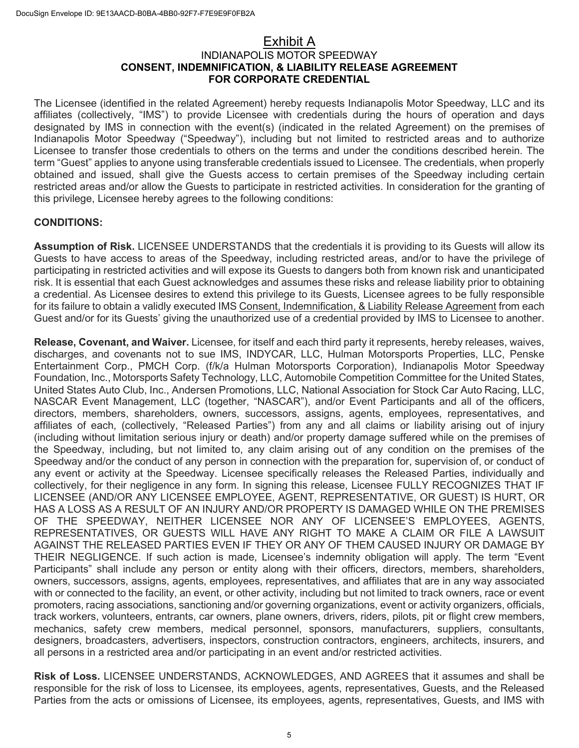## Exhibit A INDIANAPOLIS MOTOR SPEEDWAY **CONSENT, INDEMNIFICATION, & LIABILITY RELEASE AGREEMENT FOR CORPORATE CREDENTIAL**

The Licensee (identified in the related Agreement) hereby requests Indianapolis Motor Speedway, LLC and its affiliates (collectively, "IMS") to provide Licensee with credentials during the hours of operation and days designated by IMS in connection with the event(s) (indicated in the related Agreement) on the premises of Indianapolis Motor Speedway ("Speedway"), including but not limited to restricted areas and to authorize Licensee to transfer those credentials to others on the terms and under the conditions described herein. The term "Guest" applies to anyone using transferable credentials issued to Licensee. The credentials, when properly obtained and issued, shall give the Guests access to certain premises of the Speedway including certain restricted areas and/or allow the Guests to participate in restricted activities. In consideration for the granting of this privilege, Licensee hereby agrees to the following conditions:

## **CONDITIONS:**

**Assumption of Risk.** LICENSEE UNDERSTANDS that the credentials it is providing to its Guests will allow its Guests to have access to areas of the Speedway, including restricted areas, and/or to have the privilege of participating in restricted activities and will expose its Guests to dangers both from known risk and unanticipated risk. It is essential that each Guest acknowledges and assumes these risks and release liability prior to obtaining a credential. As Licensee desires to extend this privilege to its Guests, Licensee agrees to be fully responsible for its failure to obtain a validly executed IMS Consent, Indemnification, & Liability Release Agreement from each Guest and/or for its Guests' giving the unauthorized use of a credential provided by IMS to Licensee to another.

**Release, Covenant, and Waiver.** Licensee, for itself and each third party it represents, hereby releases, waives, discharges, and covenants not to sue IMS, INDYCAR, LLC, Hulman Motorsports Properties, LLC, Penske Entertainment Corp., PMCH Corp. (f/k/a Hulman Motorsports Corporation), Indianapolis Motor Speedway Foundation, Inc., Motorsports Safety Technology, LLC, Automobile Competition Committee for the United States, United States Auto Club, Inc., Andersen Promotions, LLC, National Association for Stock Car Auto Racing, LLC, NASCAR Event Management, LLC (together, "NASCAR"), and/or Event Participants and all of the officers, directors, members, shareholders, owners, successors, assigns, agents, employees, representatives, and affiliates of each, (collectively, "Released Parties") from any and all claims or liability arising out of injury (including without limitation serious injury or death) and/or property damage suffered while on the premises of the Speedway, including, but not limited to, any claim arising out of any condition on the premises of the Speedway and/or the conduct of any person in connection with the preparation for, supervision of, or conduct of any event or activity at the Speedway. Licensee specifically releases the Released Parties, individually and collectively, for their negligence in any form. In signing this release, Licensee FULLY RECOGNIZES THAT IF LICENSEE (AND/OR ANY LICENSEE EMPLOYEE, AGENT, REPRESENTATIVE, OR GUEST) IS HURT, OR HAS A LOSS AS A RESULT OF AN INJURY AND/OR PROPERTY IS DAMAGED WHILE ON THE PREMISES OF THE SPEEDWAY, NEITHER LICENSEE NOR ANY OF LICENSEE'S EMPLOYEES, AGENTS, REPRESENTATIVES, OR GUESTS WILL HAVE ANY RIGHT TO MAKE A CLAIM OR FILE A LAWSUIT AGAINST THE RELEASED PARTIES EVEN IF THEY OR ANY OF THEM CAUSED INJURY OR DAMAGE BY THEIR NEGLIGENCE. If such action is made, Licensee's indemnity obligation will apply. The term "Event Participants" shall include any person or entity along with their officers, directors, members, shareholders, owners, successors, assigns, agents, employees, representatives, and affiliates that are in any way associated with or connected to the facility, an event, or other activity, including but not limited to track owners, race or event promoters, racing associations, sanctioning and/or governing organizations, event or activity organizers, officials, track workers, volunteers, entrants, car owners, plane owners, drivers, riders, pilots, pit or flight crew members, mechanics, safety crew members, medical personnel, sponsors, manufacturers, suppliers, consultants, designers, broadcasters, advertisers, inspectors, construction contractors, engineers, architects, insurers, and all persons in a restricted area and/or participating in an event and/or restricted activities.

**Risk of Loss.** LICENSEE UNDERSTANDS, ACKNOWLEDGES, AND AGREES that it assumes and shall be responsible for the risk of loss to Licensee, its employees, agents, representatives, Guests, and the Released Parties from the acts or omissions of Licensee, its employees, agents, representatives, Guests, and IMS with